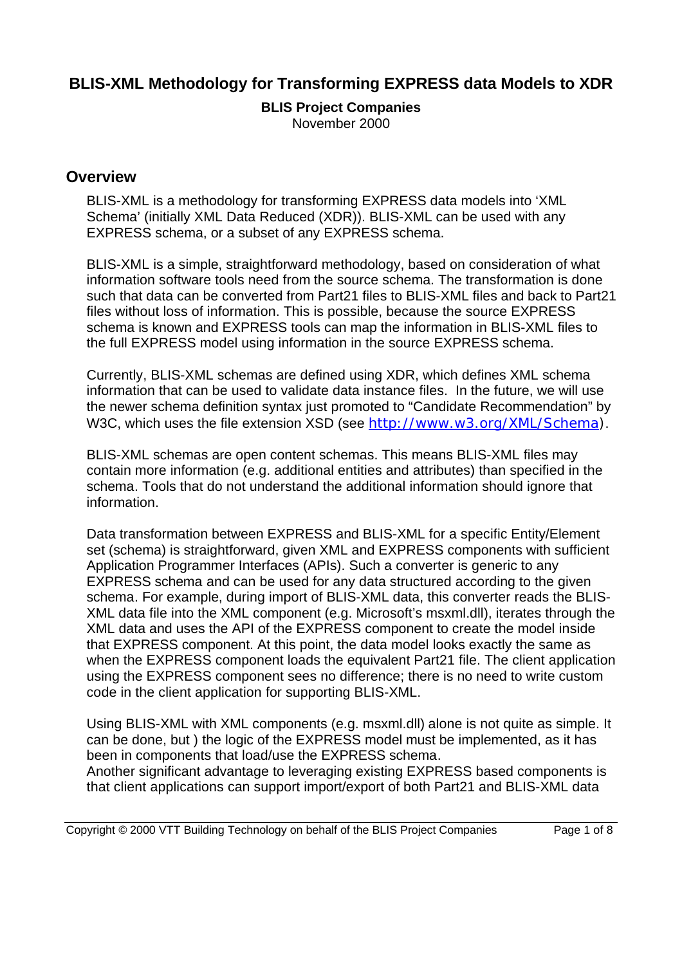# **BLIS-XML Methodology for Transforming EXPRESS data Models to XDR**

# **BLIS Project Companies**

November 2000

## **Overview**

BLIS-XML is a methodology for transforming EXPRESS data models into 'XML Schema' (initially XML Data Reduced (XDR)). BLIS-XML can be used with any EXPRESS schema, or a subset of any EXPRESS schema.

BLIS-XML is a simple, straightforward methodology, based on consideration of what information software tools need from the source schema. The transformation is done such that data can be converted from Part21 files to BLIS-XML files and back to Part21 files without loss of information. This is possible, because the source EXPRESS schema is known and EXPRESS tools can map the information in BLIS-XML files to the full EXPRESS model using information in the source EXPRESS schema.

Currently, BLIS-XML schemas are defined using XDR, which defines XML schema information that can be used to validate data instance files. In the future, we will use the newer schema definition syntax just promoted to "Candidate Recommendation" by W3C, which uses the file extension XSD (see http://www.w3.org/XML/Schema).

BLIS-XML schemas are open content schemas. This means BLIS-XML files may contain more information (e.g. additional entities and attributes) than specified in the schema. Tools that do not understand the additional information should ignore that information.

Data transformation between EXPRESS and BLIS-XML for a specific Entity/Element set (schema) is straightforward, given XML and EXPRESS components with sufficient Application Programmer Interfaces (APIs). Such a converter is generic to any EXPRESS schema and can be used for any data structured according to the given schema. For example, during import of BLIS-XML data, this converter reads the BLIS-XML data file into the XML component (e.g. Microsoft's msxml.dll), iterates through the XML data and uses the API of the EXPRESS component to create the model inside that EXPRESS component. At this point, the data model looks exactly the same as when the EXPRESS component loads the equivalent Part21 file. The client application using the EXPRESS component sees no difference; there is no need to write custom code in the client application for supporting BLIS-XML.

Using BLIS-XML with XML components (e.g. msxml.dll) alone is not quite as simple. It can be done, but ) the logic of the EXPRESS model must be implemented, as it has been in components that load/use the EXPRESS schema.

Another significant advantage to leveraging existing EXPRESS based components is that client applications can support import/export of both Part21 and BLIS-XML data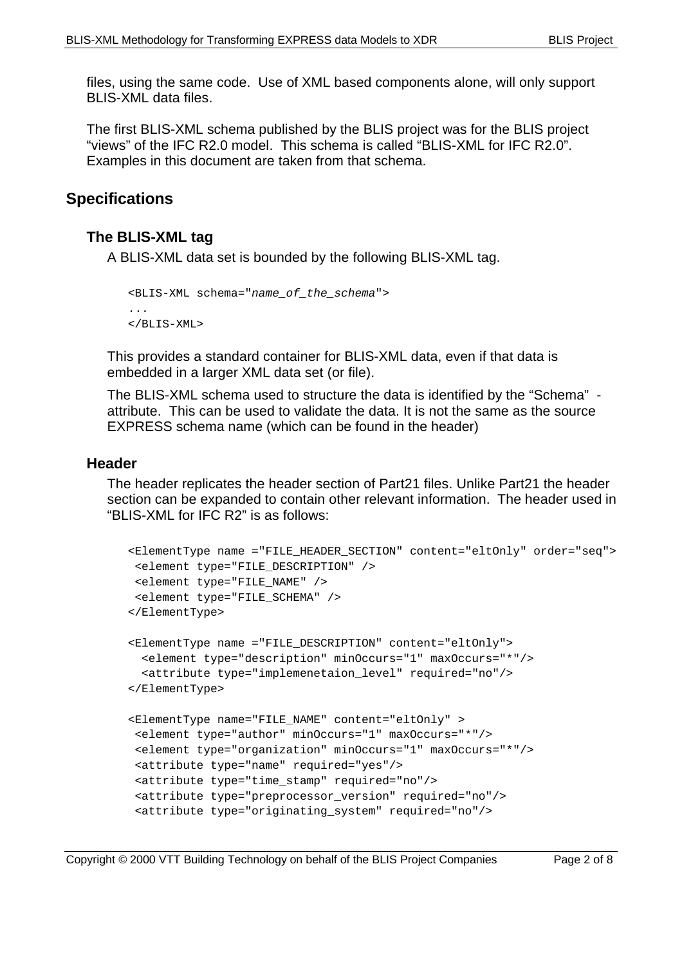files, using the same code. Use of XML based components alone, will only support BLIS-XML data files.

The first BLIS-XML schema published by the BLIS project was for the BLIS project "views" of the IFC R2.0 model. This schema is called "BLIS-XML for IFC R2.0". Examples in this document are taken from that schema.

# **Specifications**

### **The BLIS-XML tag**

A BLIS-XML data set is bounded by the following BLIS-XML tag.

```
<BLIS-XML schema="name_of_the_schema">
...
\langle/BLIS-XML>
```
This provides a standard container for BLIS-XML data, even if that data is embedded in a larger XML data set (or file).

The BLIS-XML schema used to structure the data is identified by the "Schema" attribute. This can be used to validate the data. It is not the same as the source EXPRESS schema name (which can be found in the header)

### **Header**

The header replicates the header section of Part21 files. Unlike Part21 the header section can be expanded to contain other relevant information. The header used in "BLIS-XML for IFC R2" is as follows:

```
<ElementType name ="FILE_HEADER_SECTION" content="eltOnly" order="seq">
  <element type="FILE_DESCRIPTION" />
  <element type="FILE_NAME" />
  <element type="FILE_SCHEMA" />
</ElementType>
<ElementType name ="FILE_DESCRIPTION" content="eltOnly">
   <element type="description" minOccurs="1" maxOccurs="*"/>
   <attribute type="implemenetaion_level" required="no"/>
</ElementType>
<ElementType name="FILE_NAME" content="eltOnly" >
  <element type="author" minOccurs="1" maxOccurs="*"/>
  <element type="organization" minOccurs="1" maxOccurs="*"/>
  <attribute type="name" required="yes"/>
  <attribute type="time_stamp" required="no"/>
  <attribute type="preprocessor_version" required="no"/>
  <attribute type="originating_system" required="no"/>
```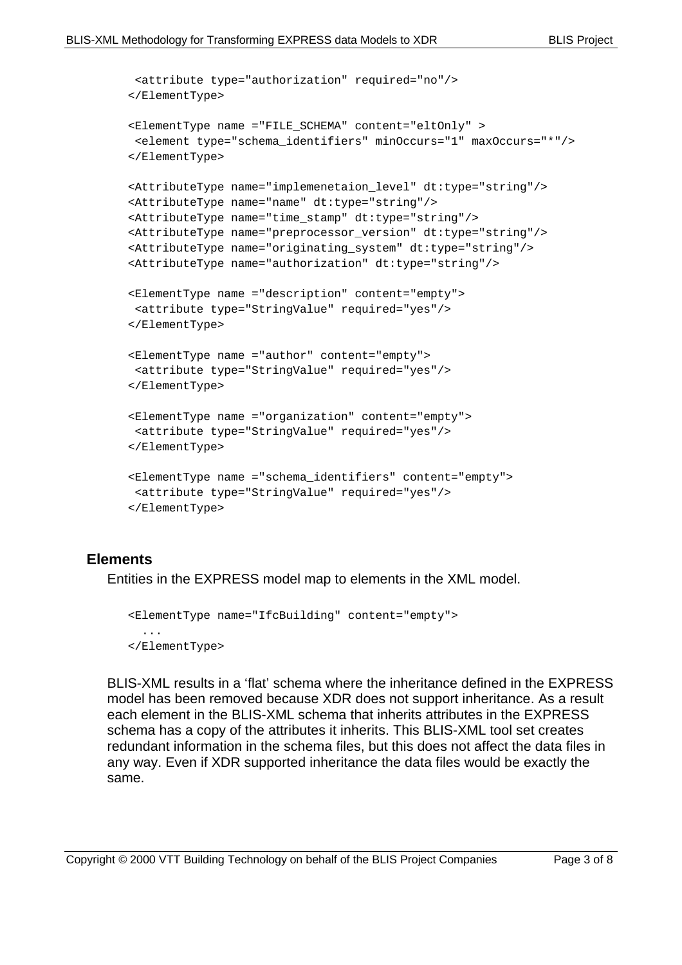```
 <attribute type="authorization" required="no"/>
</ElementType>
<ElementType name ="FILE_SCHEMA" content="eltOnly" >
  <element type="schema_identifiers" minOccurs="1" maxOccurs="*"/>
</ElementType>
<AttributeType name="implemenetaion_level" dt:type="string"/>
<AttributeType name="name" dt:type="string"/>
<AttributeType name="time_stamp" dt:type="string"/>
<AttributeType name="preprocessor_version" dt:type="string"/>
<AttributeType name="originating_system" dt:type="string"/>
<AttributeType name="authorization" dt:type="string"/>
<ElementType name ="description" content="empty">
  <attribute type="StringValue" required="yes"/>
</ElementType>
<ElementType name ="author" content="empty">
 <attribute type="StringValue" required="yes"/>
</ElementType>
<ElementType name ="organization" content="empty">
  <attribute type="StringValue" required="yes"/>
</ElementType>
<ElementType name ="schema_identifiers" content="empty">
  <attribute type="StringValue" required="yes"/>
</ElementType>
```
#### **Elements**

Entities in the EXPRESS model map to elements in the XML model.

```
<ElementType name="IfcBuilding" content="empty">
   ...
</ElementType>
```
BLIS-XML results in a 'flat' schema where the inheritance defined in the EXPRESS model has been removed because XDR does not support inheritance. As a result each element in the BLIS-XML schema that inherits attributes in the EXPRESS schema has a copy of the attributes it inherits. This BLIS-XML tool set creates redundant information in the schema files, but this does not affect the data files in any way. Even if XDR supported inheritance the data files would be exactly the same.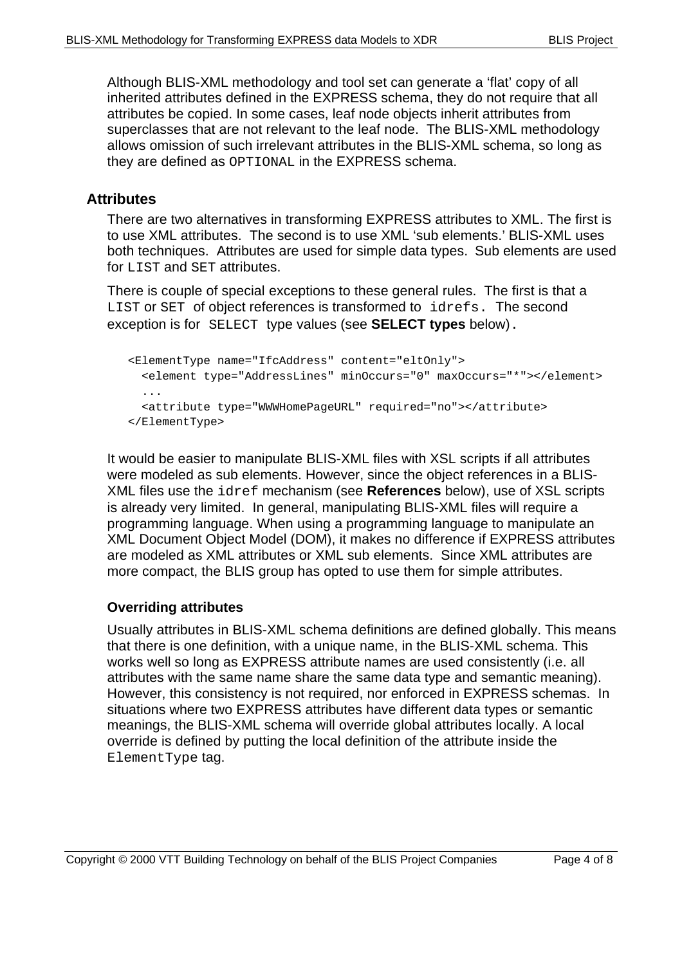Although BLIS-XML methodology and tool set can generate a 'flat' copy of all inherited attributes defined in the EXPRESS schema, they do not require that all attributes be copied. In some cases, leaf node objects inherit attributes from superclasses that are not relevant to the leaf node. The BLIS-XML methodology allows omission of such irrelevant attributes in the BLIS-XML schema, so long as they are defined as OPTIONAL in the EXPRESS schema.

## **Attributes**

There are two alternatives in transforming EXPRESS attributes to XML. The first is to use XML attributes. The second is to use XML 'sub elements.' BLIS-XML uses both techniques. Attributes are used for simple data types. Sub elements are used for LIST and SET attributes.

There is couple of special exceptions to these general rules. The first is that a LIST or SET of object references is transformed to idrefs. The second exception is for SELECT type values (see **SELECT types** below).

```
<ElementType name="IfcAddress" content="eltOnly">
   <element type="AddressLines" minOccurs="0" maxOccurs="*"></element>
   ...
   <attribute type="WWWHomePageURL" required="no"></attribute>
</ElementType>
```
It would be easier to manipulate BLIS-XML files with XSL scripts if all attributes were modeled as sub elements. However, since the object references in a BLIS-XML files use the idref mechanism (see **References** below), use of XSL scripts is already very limited. In general, manipulating BLIS-XML files will require a programming language. When using a programming language to manipulate an XML Document Object Model (DOM), it makes no difference if EXPRESS attributes are modeled as XML attributes or XML sub elements. Since XML attributes are more compact, the BLIS group has opted to use them for simple attributes.

### **Overriding attributes**

Usually attributes in BLIS-XML schema definitions are defined globally. This means that there is one definition, with a unique name, in the BLIS-XML schema. This works well so long as EXPRESS attribute names are used consistently (i.e. all attributes with the same name share the same data type and semantic meaning). However, this consistency is not required, nor enforced in EXPRESS schemas. In situations where two EXPRESS attributes have different data types or semantic meanings, the BLIS-XML schema will override global attributes locally. A local override is defined by putting the local definition of the attribute inside the ElementType tag.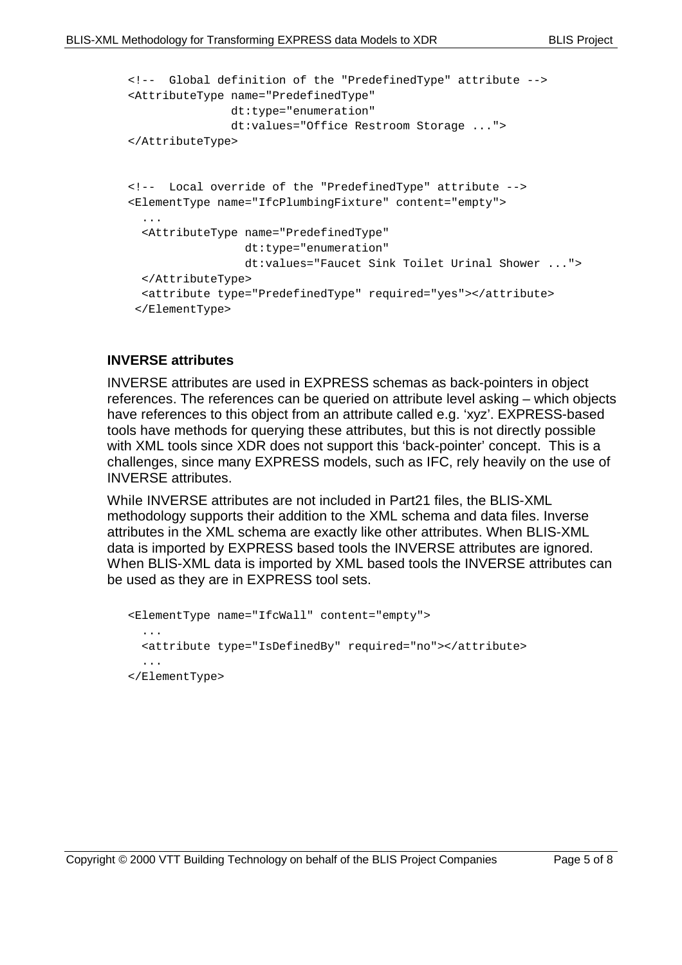```
<!-- Global definition of the "PredefinedType" attribute -->
<AttributeType name="PredefinedType"
                dt:type="enumeration"
                dt:values="Office Restroom Storage ...">
</AttributeType>
<!-- Local override of the "PredefinedType" attribute -->
<ElementType name="IfcPlumbingFixture" content="empty">
 ...
   <AttributeType name="PredefinedType"
                  dt:type="enumeration"
                  dt:values="Faucet Sink Toilet Urinal Shower ...">
   </AttributeType>
   <attribute type="PredefinedType" required="yes"></attribute>
 </ElementType>
```
#### **INVERSE attributes**

INVERSE attributes are used in EXPRESS schemas as back-pointers in object references. The references can be queried on attribute level asking – which objects have references to this object from an attribute called e.g. 'xyz'. EXPRESS-based tools have methods for querying these attributes, but this is not directly possible with XML tools since XDR does not support this 'back-pointer' concept. This is a challenges, since many EXPRESS models, such as IFC, rely heavily on the use of INVERSE attributes.

While INVERSE attributes are not included in Part21 files, the BLIS-XML methodology supports their addition to the XML schema and data files. Inverse attributes in the XML schema are exactly like other attributes. When BLIS-XML data is imported by EXPRESS based tools the INVERSE attributes are ignored. When BLIS-XML data is imported by XML based tools the INVERSE attributes can be used as they are in EXPRESS tool sets.

```
<ElementType name="IfcWall" content="empty">
   ...
   <attribute type="IsDefinedBy" required="no"></attribute>
   ...
</ElementType>
```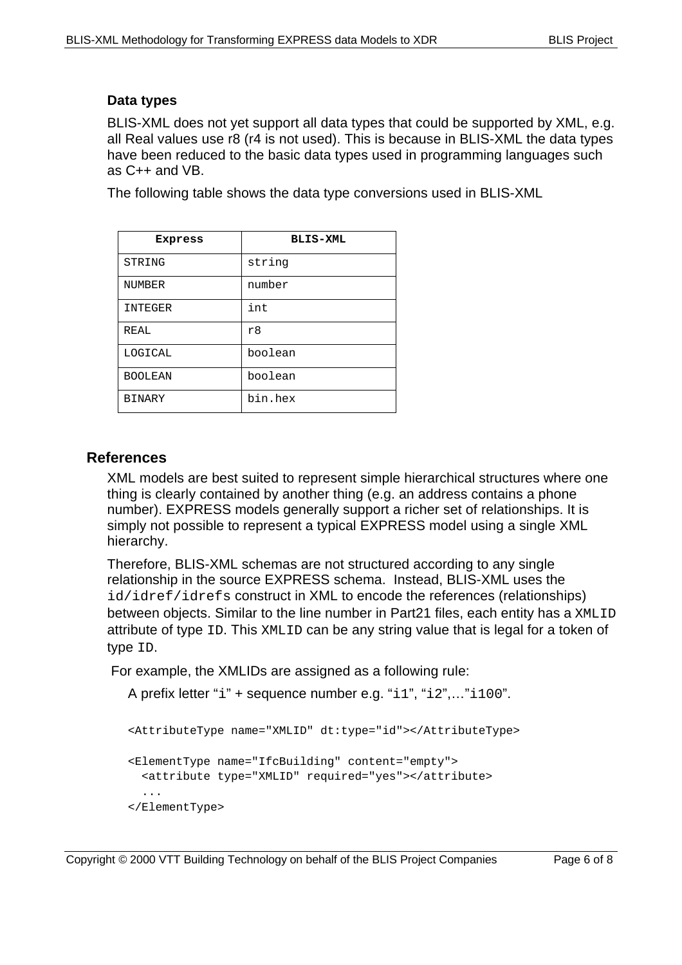#### **Data types**

BLIS-XML does not yet support all data types that could be supported by XML, e.g. all Real values use r8 (r4 is not used). This is because in BLIS-XML the data types have been reduced to the basic data types used in programming languages such as C++ and VB.

The following table shows the data type conversions used in BLIS-XML

| Express        | <b>BLIS-XML</b> |
|----------------|-----------------|
| STRING         | string          |
| <b>NUMBER</b>  | number          |
| <b>INTEGER</b> | int             |
| REAL           | r8              |
| LOGICAL        | boolean         |
| <b>BOOLEAN</b> | boolean         |
| <b>BINARY</b>  | bin.hex         |

## **References**

XML models are best suited to represent simple hierarchical structures where one thing is clearly contained by another thing (e.g. an address contains a phone number). EXPRESS models generally support a richer set of relationships. It is simply not possible to represent a typical EXPRESS model using a single XML hierarchy.

Therefore, BLIS-XML schemas are not structured according to any single relationship in the source EXPRESS schema. Instead, BLIS-XML uses the id/idref/idrefs construct in XML to encode the references (relationships) between objects. Similar to the line number in Part21 files, each entity has a XMLID attribute of type ID. This XMLID can be any string value that is legal for a token of type ID.

For example, the XMLIDs are assigned as a following rule:

```
A prefix letter "i" + sequence number e.g. "i1", "i2",…"i100".
```

```
<AttributeType name="XMLID" dt:type="id"></AttributeType>
<ElementType name="IfcBuilding" content="empty">
   <attribute type="XMLID" required="yes"></attribute>
   ...
</ElementType>
```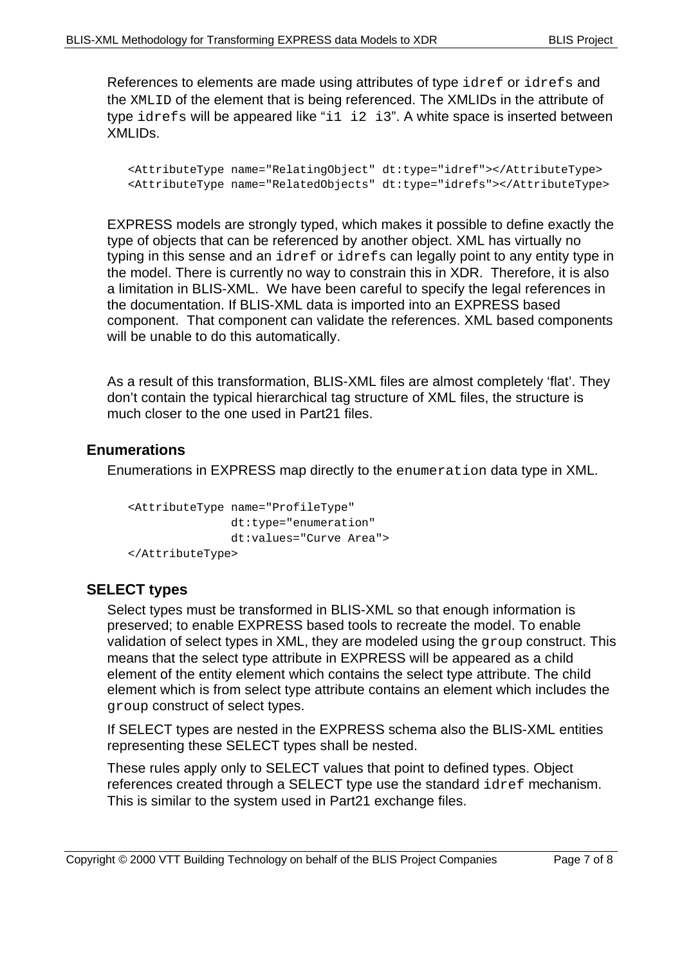References to elements are made using attributes of type idref or idrefs and the XMLID of the element that is being referenced. The XMLIDs in the attribute of type idrefs will be appeared like "i1 i2 i3". A white space is inserted between XMLIDs.

```
<AttributeType name="RelatingObject" dt:type="idref"></AttributeType>
<AttributeType name="RelatedObjects" dt:type="idrefs"></AttributeType>
```
EXPRESS models are strongly typed, which makes it possible to define exactly the type of objects that can be referenced by another object. XML has virtually no typing in this sense and an idref or idrefs can legally point to any entity type in the model. There is currently no way to constrain this in XDR. Therefore, it is also a limitation in BLIS-XML. We have been careful to specify the legal references in the documentation. If BLIS-XML data is imported into an EXPRESS based component. That component can validate the references. XML based components will be unable to do this automatically.

As a result of this transformation, BLIS-XML files are almost completely 'flat'. They don't contain the typical hierarchical tag structure of XML files, the structure is much closer to the one used in Part21 files.

## **Enumerations**

Enumerations in EXPRESS map directly to the enumeration data type in XML.

```
<AttributeType name="ProfileType"
                dt:type="enumeration"
                dt:values="Curve Area">
</AttributeType>
```
## **SELECT types**

Select types must be transformed in BLIS-XML so that enough information is preserved; to enable EXPRESS based tools to recreate the model. To enable validation of select types in XML, they are modeled using the group construct. This means that the select type attribute in EXPRESS will be appeared as a child element of the entity element which contains the select type attribute. The child element which is from select type attribute contains an element which includes the group construct of select types.

If SELECT types are nested in the EXPRESS schema also the BLIS-XML entities representing these SELECT types shall be nested.

These rules apply only to SELECT values that point to defined types. Object references created through a SELECT type use the standard idref mechanism. This is similar to the system used in Part21 exchange files.